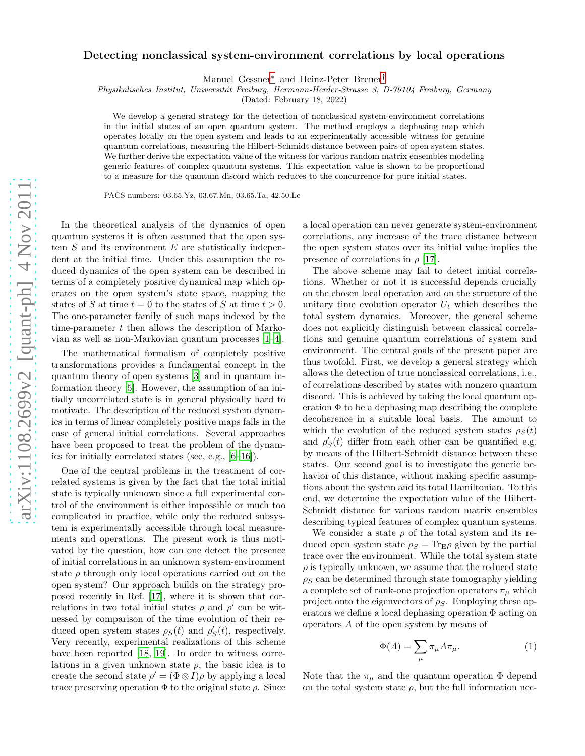## Detecting nonclassical system-environment correlations by local operations

Manuel Gessner[∗](#page-3-0) and Heinz-Peter Breuer[†](#page-3-1)

Physikalisches Institut, Universität Freiburg, Hermann-Herder-Strasse 3, D-79104 Freiburg, Germany

(Dated: February 18, 2022)

We develop a general strategy for the detection of nonclassical system-environment correlations in the initial states of an open quantum system. The method employs a dephasing map which operates locally on the open system and leads to an experimentally accessible witness for genuine quantum correlations, measuring the Hilbert-Schmidt distance between pairs of open system states. We further derive the expectation value of the witness for various random matrix ensembles modeling generic features of complex quantum systems. This expectation value is shown to be proportional to a measure for the quantum discord which reduces to the concurrence for pure initial states.

PACS numbers: 03.65.Yz, 03.67.Mn, 03.65.Ta, 42.50.Lc

In the theoretical analysis of the dynamics of open quantum systems it is often assumed that the open system  $S$  and its environment  $E$  are statistically independent at the initial time. Under this assumption the reduced dynamics of the open system can be described in terms of a completely positive dynamical map which operates on the open system's state space, mapping the states of S at time  $t = 0$  to the states of S at time  $t > 0$ . The one-parameter family of such maps indexed by the time-parameter  $t$  then allows the description of Markovian as well as non-Markovian quantum processes [\[1](#page-3-2)[–4](#page-3-3)].

The mathematical formalism of completely positive transformations provides a fundamental concept in the quantum theory of open systems [\[3\]](#page-3-4) and in quantum information theory [\[5](#page-3-5)]. However, the assumption of an initially uncorrelated state is in general physically hard to motivate. The description of the reduced system dynamics in terms of linear completely positive maps fails in the case of general initial correlations. Several approaches have been proposed to treat the problem of the dynamics for initially correlated states (see, e.g., [\[6](#page-3-6)[–16\]](#page-3-7)).

One of the central problems in the treatment of correlated systems is given by the fact that the total initial state is typically unknown since a full experimental control of the environment is either impossible or much too complicated in practice, while only the reduced subsystem is experimentally accessible through local measurements and operations. The present work is thus motivated by the question, how can one detect the presence of initial correlations in an unknown system-environment state  $\rho$  through only local operations carried out on the open system? Our approach builds on the strategy proposed recently in Ref. [\[17](#page-3-8)], where it is shown that correlations in two total initial states  $\rho$  and  $\rho'$  can be witnessed by comparison of the time evolution of their reduced open system states  $\rho_S(t)$  and  $\rho'_S(t)$ , respectively. Very recently, experimental realizations of this scheme have been reported [\[18,](#page-3-9) [19\]](#page-3-10). In order to witness correlations in a given unknown state  $\rho$ , the basic idea is to create the second state  $\rho' = (\Phi \otimes I)\rho$  by applying a local trace preserving operation  $\Phi$  to the original state  $\rho$ . Since

a local operation can never generate system-environment correlations, any increase of the trace distance between the open system states over its initial value implies the presence of correlations in  $\rho$  [\[17\]](#page-3-8).

The above scheme may fail to detect initial correlations. Whether or not it is successful depends crucially on the chosen local operation and on the structure of the unitary time evolution operator  $U_t$  which describes the total system dynamics. Moreover, the general scheme does not explicitly distinguish between classical correlations and genuine quantum correlations of system and environment. The central goals of the present paper are thus twofold. First, we develop a general strategy which allows the detection of true nonclassical correlations, i.e., of correlations described by states with nonzero quantum discord. This is achieved by taking the local quantum operation  $\Phi$  to be a dephasing map describing the complete decoherence in a suitable local basis. The amount to which the evolution of the reduced system states  $\rho_S(t)$ and  $\rho'_{S}(t)$  differ from each other can be quantified e.g. by means of the Hilbert-Schmidt distance between these states. Our second goal is to investigate the generic behavior of this distance, without making specific assumptions about the system and its total Hamiltonian. To this end, we determine the expectation value of the Hilbert-Schmidt distance for various random matrix ensembles describing typical features of complex quantum systems.

We consider a state  $\rho$  of the total system and its reduced open system state  $\rho_S = \text{Tr}_{\text{E}} \rho$  given by the partial trace over the environment. While the total system state  $\rho$  is typically unknown, we assume that the reduced state  $\rho_S$  can be determined through state tomography yielding a complete set of rank-one projection operators  $\pi_{\mu}$  which project onto the eigenvectors of  $\rho_S$ . Employing these operators we define a local dephasing operation Φ acting on operators A of the open system by means of

$$
\Phi(A) = \sum_{\mu} \pi_{\mu} A \pi_{\mu}.
$$
 (1)

Note that the  $\pi_{\mu}$  and the quantum operation  $\Phi$  depend on the total system state  $\rho$ , but the full information nec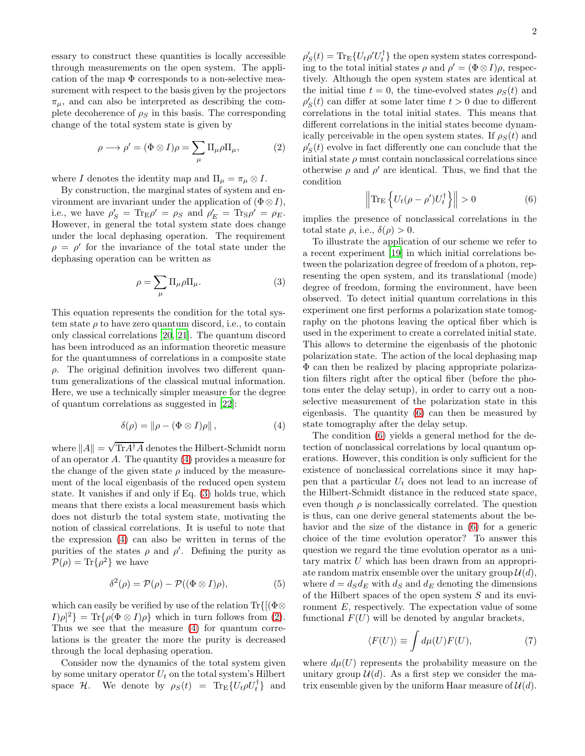essary to construct these quantities is locally accessible through measurements on the open system. The application of the map  $\Phi$  corresponds to a non-selective measurement with respect to the basis given by the projectors  $\pi_{\mu}$ , and can also be interpreted as describing the complete decoherence of  $\rho_s$  in this basis. The corresponding change of the total system state is given by

<span id="page-1-2"></span>
$$
\rho \longrightarrow \rho' = (\Phi \otimes I)\rho = \sum_{\mu} \Pi_{\mu} \rho \Pi_{\mu}, \tag{2}
$$

where I denotes the identity map and  $\Pi_{\mu} = \pi_{\mu} \otimes I$ .

By construction, the marginal states of system and environment are invariant under the application of  $(\Phi \otimes I)$ , i.e., we have  $\rho'_{S} = \text{Tr}_{E} \rho' = \rho_{S}$  and  $\rho'_{E} = \text{Tr}_{S} \rho' = \rho_{E}$ . However, in general the total system state does change under the local dephasing operation. The requirement  $\rho = \rho'$  for the invariance of the total state under the dephasing operation can be written as

<span id="page-1-1"></span>
$$
\rho = \sum_{\mu} \Pi_{\mu} \rho \Pi_{\mu}.
$$
 (3)

This equation represents the condition for the total system state  $\rho$  to have zero quantum discord, i.e., to contain only classical correlations [\[20](#page-3-11), [21\]](#page-3-12). The quantum discord has been introduced as an information theoretic measure for the quantumness of correlations in a composite state  $\rho$ . The original definition involves two different quantum generalizations of the classical mutual information. Here, we use a technically simpler measure for the degree of quantum correlations as suggested in [\[22\]](#page-3-13):

<span id="page-1-0"></span>
$$
\delta(\rho) = \|\rho - (\Phi \otimes I)\rho\| \,, \tag{4}
$$

where  $||A|| = \sqrt{\text{Tr}A^{\dagger}A}$  denotes the Hilbert-Schmidt norm of an operator A. The quantity [\(4\)](#page-1-0) provides a measure for the change of the given state  $\rho$  induced by the measurement of the local eigenbasis of the reduced open system state. It vanishes if and only if Eq. [\(3\)](#page-1-1) holds true, which means that there exists a local measurement basis which does not disturb the total system state, motivating the notion of classical correlations. It is useful to note that the expression [\(4\)](#page-1-0) can also be written in terms of the purities of the states  $\rho$  and  $\rho'$ . Defining the purity as  $\mathcal{P}(\rho) = \text{Tr}\{\rho^2\}$  we have

<span id="page-1-4"></span>
$$
\delta^2(\rho) = \mathcal{P}(\rho) - \mathcal{P}((\Phi \otimes I)\rho), \tag{5}
$$

which can easily be verified by use of the relation  $\text{Tr}\{[(\Phi\otimes$  $I[\rho]^2$  = Tr{ $\rho(\Phi \otimes I)\rho$ } which in turn follows from [\(2\)](#page-1-2). Thus we see that the measure [\(4\)](#page-1-0) for quantum correlations is the greater the more the purity is decreased through the local dephasing operation.

Consider now the dynamics of the total system given by some unitary operator  $U_t$  on the total system's Hilbert space  $\mathcal{H}$ . We denote by  $\rho_S(t) = \text{Tr}_{\text{E}}\{U_t \rho U_t^{\dagger}\}\$ and

 $\rho'_{S}(t) = \text{Tr}_{\text{E}}\{U_t \rho' U_t^{\dagger}\}\$  the open system states corresponding to the total initial states  $\rho$  and  $\rho' = (\Phi \otimes I)\rho$ , respectively. Although the open system states are identical at the initial time  $t = 0$ , the time-evolved states  $\rho_S(t)$  and  $\rho'_{S}(t)$  can differ at some later time  $t > 0$  due to different correlations in the total initial states. This means that different correlations in the initial states become dynamically perceivable in the open system states. If  $\rho_S(t)$  and  $\rho'_{S}(t)$  evolve in fact differently one can conclude that the initial state  $\rho$  must contain nonclassical correlations since otherwise  $\rho$  and  $\rho'$  are identical. Thus, we find that the condition

<span id="page-1-3"></span>
$$
\left\| \text{Tr}_{\mathcal{E}} \left\{ U_t (\rho - \rho') U_t^{\dagger} \right\} \right\| > 0 \tag{6}
$$

implies the presence of nonclassical correlations in the total state  $\rho$ , i.e.,  $\delta(\rho) > 0$ .

To illustrate the application of our scheme we refer to a recent experiment [\[19\]](#page-3-10) in which initial correlations between the polarization degree of freedom of a photon, representing the open system, and its translational (mode) degree of freedom, forming the environment, have been observed. To detect initial quantum correlations in this experiment one first performs a polarization state tomography on the photons leaving the optical fiber which is used in the experiment to create a correlated initial state. This allows to determine the eigenbasis of the photonic polarization state. The action of the local dephasing map Φ can then be realized by placing appropriate polarization filters right after the optical fiber (before the photons enter the delay setup), in order to carry out a nonselective measurement of the polarization state in this eigenbasis. The quantity [\(6\)](#page-1-3) can then be measured by state tomography after the delay setup.

The condition [\(6\)](#page-1-3) yields a general method for the detection of nonclassical correlations by local quantum operations. However, this condition is only sufficient for the existence of nonclassical correlations since it may happen that a particular  $U_t$  does not lead to an increase of the Hilbert-Schmidt distance in the reduced state space, even though  $\rho$  is nonclassically correlated. The question is thus, can one derive general statements about the behavior and the size of the distance in [\(6\)](#page-1-3) for a generic choice of the time evolution operator? To answer this question we regard the time evolution operator as a unitary matrix U which has been drawn from an appropriate random matrix ensemble over the unitary group  $\mathcal{U}(d)$ , where  $d = d_S d_E$  with  $d_S$  and  $d_E$  denoting the dimensions of the Hilbert spaces of the open system  $S$  and its environment E, respectively. The expectation value of some functional  $F(U)$  will be denoted by angular brackets,

$$
\langle F(U) \rangle \equiv \int d\mu(U) F(U), \tag{7}
$$

where  $d\mu(U)$  represents the probability measure on the unitary group  $\mathcal{U}(d)$ . As a first step we consider the matrix ensemble given by the uniform Haar measure of  $\mathcal{U}(d)$ .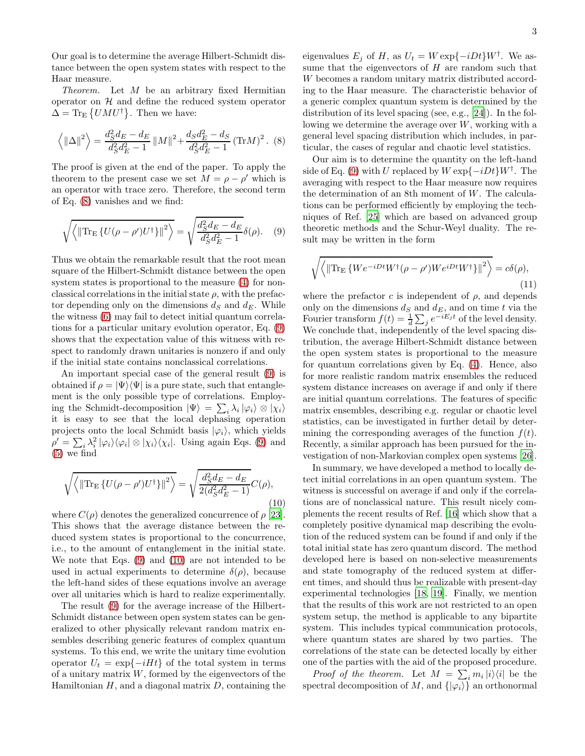Our goal is to determine the average Hilbert-Schmidt distance between the open system states with respect to the Haar measure.

Theorem. Let M be an arbitrary fixed Hermitian operator on  $H$  and define the reduced system operator  $\Delta = \text{Tr}_{\text{E}}\left\{U M U^{\dagger}\right\}$ . Then we have:

<span id="page-2-0"></span>
$$
\left\langle \|\Delta\|^2 \right\rangle = \frac{d_S^2 d_E - d_E}{d_S^2 d_E^2 - 1} \|M\|^2 + \frac{d_S d_E^2 - d_S}{d_S^2 d_E^2 - 1} (\text{Tr} M)^2. (8)
$$

The proof is given at the end of the paper. To apply the theorem to the present case we set  $M = \rho - \rho'$  which is an operator with trace zero. Therefore, the second term of Eq. [\(8\)](#page-2-0) vanishes and we find:

<span id="page-2-1"></span>
$$
\sqrt{\left\langle \left\| \text{Tr}_{\mathcal{E}} \left\{ U(\rho - \rho') U^{\dagger} \right\} \right\|^2 \right\rangle} = \sqrt{\frac{d_S^2 d_E - d_E}{d_S^2 d_E^2 - 1}} \delta(\rho). \quad (9)
$$

Thus we obtain the remarkable result that the root mean square of the Hilbert-Schmidt distance between the open system states is proportional to the measure  $(4)$  for nonclassical correlations in the initial state  $\rho$ , with the prefactor depending only on the dimensions  $d_S$  and  $d_E$ . While the witness [\(6\)](#page-1-3) may fail to detect initial quantum correlations for a particular unitary evolution operator, Eq. [\(9\)](#page-2-1) shows that the expectation value of this witness with respect to randomly drawn unitaries is nonzero if and only if the initial state contains nonclassical correlations.

An important special case of the general result [\(9\)](#page-2-1) is obtained if  $\rho = |\Psi\rangle \langle \Psi|$  is a pure state, such that entanglement is the only possible type of correlations. Employing the Schmidt-decomposition  $|\Psi\rangle = \sum_i \lambda_i |\varphi_i\rangle \otimes |\chi_i\rangle$ it is easy to see that the local dephasing operation projects onto the local Schmidt basis  $|\varphi_i\rangle$ , which yields  $\rho' = \sum_i \lambda_i^2 |\varphi_i\rangle\langle\varphi_i| \otimes |\chi_i\rangle\langle\chi_i|$ . Using again Eqs. [\(9\)](#page-2-1) and  $(5)$  we find

<span id="page-2-2"></span>
$$
\sqrt{\left\langle \left\| \text{Tr}_{\mathcal{E}} \left\{ U(\rho - \rho') U^{\dagger} \right\} \right\|^2 \right\rangle} = \sqrt{\frac{d_S^2 d_E - d_E}{2(d_S^2 d_E^2 - 1)}} C(\rho),\tag{10}
$$

where  $C(\rho)$  denotes the generalized concurrence of  $\rho$  [\[23\]](#page-3-14). This shows that the average distance between the reduced system states is proportional to the concurrence, i.e., to the amount of entanglement in the initial state. We note that Eqs. [\(9\)](#page-2-1) and [\(10\)](#page-2-2) are not intended to be used in actual experiments to determine  $\delta(\rho)$ , because the left-hand sides of these equations involve an average over all unitaries which is hard to realize experimentally.

The result [\(9\)](#page-2-1) for the average increase of the Hilbert-Schmidt distance between open system states can be generalized to other physically relevant random matrix ensembles describing generic features of complex quantum systems. To this end, we write the unitary time evolution operator  $U_t = \exp\{-iHt\}$  of the total system in terms of a unitary matrix  $W$ , formed by the eigenvectors of the Hamiltonian  $H$ , and a diagonal matrix  $D$ , containing the

eigenvalues  $E_j$  of H, as  $U_t = W \exp{-iDt}W^{\dagger}$ . We assume that the eigenvectors of  $H$  are random such that W becomes a random unitary matrix distributed according to the Haar measure. The characteristic behavior of a generic complex quantum system is determined by the distribution of its level spacing (see, e.g., [\[24](#page-3-15)]). In the following we determine the average over  $W$ , working with a general level spacing distribution which includes, in particular, the cases of regular and chaotic level statistics.

Our aim is to determine the quantity on the left-hand side of Eq. [\(9\)](#page-2-1) with U replaced by  $W \exp{-iDt}W^{\dagger}$ . The averaging with respect to the Haar measure now requires the determination of an 8th moment of  $W$ . The calculations can be performed efficiently by employing the techniques of Ref. [\[25\]](#page-3-16) which are based on advanced group theoretic methods and the Schur-Weyl duality. The result may be written in the form

$$
\sqrt{\left\langle \left\| \text{Tr}_{\mathcal{E}} \left\{ W e^{-iDt} W^{\dagger} (\rho - \rho') W e^{iDt} W^{\dagger} \right\} \right\|^2 \right\rangle} = c \delta(\rho),\tag{11}
$$

where the prefactor c is independent of  $\rho$ , and depends only on the dimensions  $d_S$  and  $d_E$ , and on time t via the Fourier transform  $f(t) = \frac{1}{d} \sum_j e^{-iE_j t}$  of the level density. We conclude that, independently of the level spacing distribution, the average Hilbert-Schmidt distance between the open system states is proportional to the measure for quantum correlations given by Eq. [\(4\)](#page-1-0). Hence, also for more realistic random matrix ensembles the reduced system distance increases on average if and only if there are initial quantum correlations. The features of specific matrix ensembles, describing e.g. regular or chaotic level statistics, can be investigated in further detail by determining the corresponding averages of the function  $f(t)$ . Recently, a similar approach has been pursued for the investigation of non-Markovian complex open systems [\[26\]](#page-3-17).

In summary, we have developed a method to locally detect initial correlations in an open quantum system. The witness is successful on average if and only if the correlations are of nonclassical nature. This result nicely complements the recent results of Ref. [\[16\]](#page-3-7) which show that a completely positive dynamical map describing the evolution of the reduced system can be found if and only if the total initial state has zero quantum discord. The method developed here is based on non-selective measurements and state tomography of the reduced system at different times, and should thus be realizable with present-day experimental technologies [\[18](#page-3-9), [19\]](#page-3-10). Finally, we mention that the results of this work are not restricted to an open system setup, the method is applicable to any bipartite system. This includes typical communication protocols, where quantum states are shared by two parties. The correlations of the state can be detected locally by either one of the parties with the aid of the proposed procedure.

*Proof of the theorem.* Let  $M = \sum_i m_i |i\rangle\langle i|$  be the spectral decomposition of  $M$ , and  $\{|\varphi_i\rangle\}$  an orthonormal